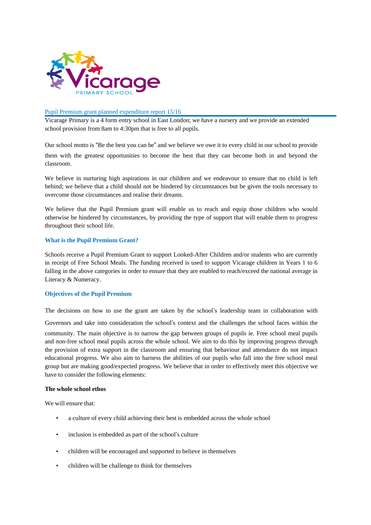

### Pupil Premium grant planned expenditure report 15/16

Vicarage Primary is a 4 form entry school in East London; we have a nursery and we provide an extended school provision from 8am to 4:30pm that is free to all pupils.

Our school motto is "Be the best you can be" and we believe we owe it to every child in our school to provide them with the greatest opportunities to become the best that they can become both in and beyond the classroom.

We believe in nurturing high aspirations in our children and we endeavour to ensure that no child is left behind; we believe that a child should not be hindered by circumstances but be given the tools necessary to overcome those circumstances and realise their dreams.

We believe that the Pupil Premium grant will enable us to reach and equip those children who would otherwise be hindered by circumstances, by providing the type of support that will enable them to progress throughout their school life.

### **What is the Pupil Premium Grant?**

Schools receive a Pupil Premium Grant to support Looked-After Children and/or students who are currently in receipt of Free School Meals. The funding received is used to support Vicarage children in Years 1 to 6 falling in the above categories in order to ensure that they are enabled to reach/exceed the national average in Literacy & Numeracy.

## **Objectives of the Pupil Premium**

The decisions on how to use the grant are taken by the school's leadership team in collaboration with

Governors and take into consideration the school's context and the challenges the school faces within the community. The main objective is to narrow the gap between groups of pupils ie. Free school meal pupils and non-free school meal pupils across the whole school. We aim to do this by improving progress through the provision of extra support in the classroom and ensuring that behaviour and attendance do not impact educational progress. We also aim to harness the abilities of our pupils who fall into the free school meal group but are making good/expected progress. We believe that in order to effectively meet this objective we have to consider the following elements:

### **The whole school ethos**

We will ensure that:

- a culture of every child achieving their best is embedded across the whole school
- inclusion is embedded as part of the school's culture
- children will be encouraged and supported to believe in themselves
- children will be challenge to think for themselves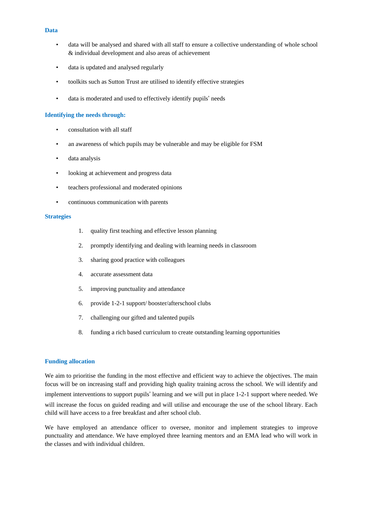- data will be analysed and shared with all staff to ensure a collective understanding of whole school & individual development and also areas of achievement
- data is updated and analysed regularly
- toolkits such as Sutton Trust are utilised to identify effective strategies
- data is moderated and used to effectively identify pupils' needs

### **Identifying the needs through:**

- consultation with all staff
- an awareness of which pupils may be vulnerable and may be eligible for FSM
- data analysis
- looking at achievement and progress data
- teachers professional and moderated opinions
- continuous communication with parents

#### **Strategies**

- 1. quality first teaching and effective lesson planning
- 2. promptly identifying and dealing with learning needs in classroom
- 3. sharing good practice with colleagues
- 4. accurate assessment data
- 5. improving punctuality and attendance
- 6. provide 1-2-1 support/ booster/afterschool clubs
- 7. challenging our gifted and talented pupils
- 8. funding a rich based curriculum to create outstanding learning opportunities

### **Funding allocation**

We aim to prioritise the funding in the most effective and efficient way to achieve the objectives. The main focus will be on increasing staff and providing high quality training across the school. We will identify and implement interventions to support pupils' learning and we will put in place 1-2-1 support where needed. We will increase the focus on guided reading and will utilise and encourage the use of the school library. Each child will have access to a free breakfast and after school club.

We have employed an attendance officer to oversee, monitor and implement strategies to improve punctuality and attendance. We have employed three learning mentors and an EMA lead who will work in the classes and with individual children.

#### **Data**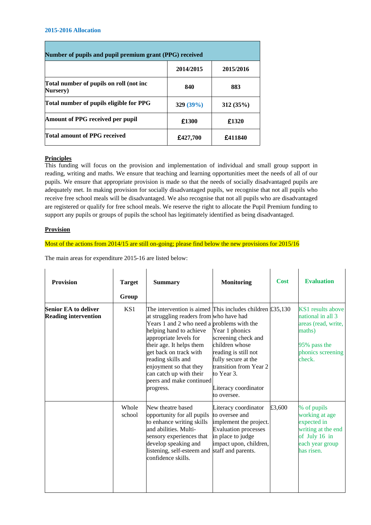#### **2015-2016 Allocation**

| Number of pupils and pupil premium grant (PPG) received |           |           |  |  |  |
|---------------------------------------------------------|-----------|-----------|--|--|--|
|                                                         | 2014/2015 | 2015/2016 |  |  |  |
| Total number of pupils on roll (not inc<br>Nursery)     | 840       | 883       |  |  |  |
| Total number of pupils eligible for PPG                 | 329(39%)  | 312(35%)  |  |  |  |
| Amount of PPG received per pupil                        | £1300     | £1320     |  |  |  |
| Total amount of PPG received                            | £427,700  | £411840   |  |  |  |

# **Principles**

This funding will focus on the provision and implementation of individual and small group support in reading, writing and maths. We ensure that teaching and learning opportunities meet the needs of all of our pupils. We ensure that appropriate provision is made so that the needs of socially disadvantaged pupils are adequately met. In making provision for socially disadvantaged pupils, we recognise that not all pupils who receive free school meals will be disadvantaged. We also recognise that not all pupils who are disadvantaged are registered or qualify for free school meals. We reserve the right to allocate the Pupil Premium funding to support any pupils or groups of pupils the school has legitimately identified as being disadvantaged.

## **Provision**

## Most of the actions from 2014/15 are still on-going; please find below the new provisions for 2015/16

The main areas for expenditure 2015-16 are listed below:

| <b>Provision</b>                                           | <b>Target</b><br>Group | <b>Summary</b>                                                                                                                                                                                                                                                                                                                                                                     | <b>Monitoring</b>                                                                                                                                                                     | <b>Cost</b> | <b>Evaluation</b>                                                                                                      |
|------------------------------------------------------------|------------------------|------------------------------------------------------------------------------------------------------------------------------------------------------------------------------------------------------------------------------------------------------------------------------------------------------------------------------------------------------------------------------------|---------------------------------------------------------------------------------------------------------------------------------------------------------------------------------------|-------------|------------------------------------------------------------------------------------------------------------------------|
| <b>Senior EA to deliver</b><br><b>Reading intervention</b> | KS1                    | The intervention is aimed This includes children $£35,130$<br>at struggling readers from who have had<br>Years 1 and 2 who need a problems with the<br>helping hand to achieve<br>appropriate levels for<br>their age. It helps them<br>get back on track with<br>reading skills and<br>enjoyment so that they<br>can catch up with their<br>peers and make continued<br>progress. | Year 1 phonics<br>screening check and<br>children whose<br>reading is still not<br>fully secure at the<br>transition from Year 2<br>to Year 3.<br>Literacy coordinator<br>to oversee. |             | KS1 results above<br>national in all 3<br>areas (read, write,<br>maths)<br>95% pass the<br>phonics screening<br>check. |
|                                                            | Whole<br>school        | New theatre based<br>opportunity for all pupils<br>to enhance writing skills<br>and abilities. Multi-<br>sensory experiences that<br>develop speaking and<br>listening, self-esteem and<br>confidence skills.                                                                                                                                                                      | Literacy coordinator<br>to oversee and<br>implement the project.<br><b>Evaluation</b> processes<br>in place to judge<br>impact upon, children,<br>staff and parents.                  | £3,600      | % of pupils<br>working at age<br>expected in<br>writing at the end<br>of July 16 in<br>each year group<br>has risen.   |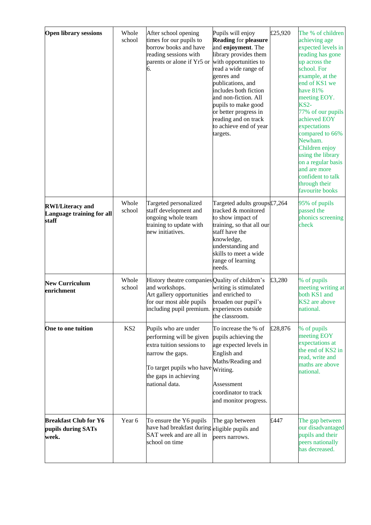| <b>Open library sessions</b>                                  | Whole<br>school | After school opening<br>times for our pupils to<br>borrow books and have<br>reading sessions with<br>parents or alone if Yr5 or<br>6.                                                 | Pupils will enjoy<br><b>Reading for pleasure</b><br>and enjoyment. The<br>library provides them<br>with opportunities to<br>read a wide range of<br>genres and<br>publications, and<br>includes both fiction<br>and non-fiction. All<br>pupils to make good<br>or better progress in<br>reading and on track<br>to achieve end of year<br>targets. | £25,920 | The % of children<br>achieving age<br>expected levels in<br>reading has gone<br>up across the<br>school. For<br>example, at the<br>end of KS1 we<br>have 81%<br>meeting EOY.<br>$KS2-$<br>77% of our pupils<br>achieved EOY<br>expectations<br>compared to 66%<br>Newham.<br>Children enjoy<br>using the library<br>on a regular basis<br>and are more<br>confident to talk<br>through their<br>favourite books |
|---------------------------------------------------------------|-----------------|---------------------------------------------------------------------------------------------------------------------------------------------------------------------------------------|----------------------------------------------------------------------------------------------------------------------------------------------------------------------------------------------------------------------------------------------------------------------------------------------------------------------------------------------------|---------|-----------------------------------------------------------------------------------------------------------------------------------------------------------------------------------------------------------------------------------------------------------------------------------------------------------------------------------------------------------------------------------------------------------------|
| <b>RWI/Literacy and</b><br>Language training for all<br>staff | Whole<br>school | Targeted personalized<br>staff development and<br>ongoing whole team<br>training to update with<br>new initiatives.                                                                   | Targeted adults groups£7,264<br>tracked & monitored<br>to show impact of<br>training, so that all our<br>staff have the<br>knowledge,<br>understanding and<br>skills to meet a wide<br>range of learning<br>needs.                                                                                                                                 |         | 95% of pupils<br>passed the<br>phonics screening<br>check                                                                                                                                                                                                                                                                                                                                                       |
| <b>New Curriculum</b><br>enrichment                           | Whole<br>school | History theatre companies Quality of children's<br>and workshops.<br>Art gallery opportunities<br>for our most able pupils<br>including pupil premium.                                | writing is stimulated<br>and enriched to<br>broaden our pupil's<br>experiences outside<br>the classroom.                                                                                                                                                                                                                                           | £3,280  | % of pupils<br>meeting writing at<br>both KS1 and<br>KS2 are above<br>national.                                                                                                                                                                                                                                                                                                                                 |
| One to one tuition                                            | KS <sub>2</sub> | Pupils who are under<br>performing will be given<br>extra tuition sessions to<br>narrow the gaps.<br>To target pupils who have $w$ riting.<br>the gaps in achieving<br>national data. | To increase the % of<br>pupils achieving the<br>age expected levels in<br>English and<br>Maths/Reading and<br>Assessment<br>coordinator to track<br>and monitor progress.                                                                                                                                                                          | £28,876 | % of pupils<br>meeting EOY<br>expectations at<br>the end of KS2 in<br>read, write and<br>maths are above<br>national.                                                                                                                                                                                                                                                                                           |
| <b>Breakfast Club for Y6</b><br>pupils during SATs<br>week.   | Year 6          | To ensure the Y6 pupils<br>have had breakfast during eligible pupils and<br>SAT week and are all in<br>school on time                                                                 | The gap between<br>peers narrows.                                                                                                                                                                                                                                                                                                                  | £447    | The gap between<br>our disadvantaged<br>pupils and their<br>peers nationally<br>has decreased.                                                                                                                                                                                                                                                                                                                  |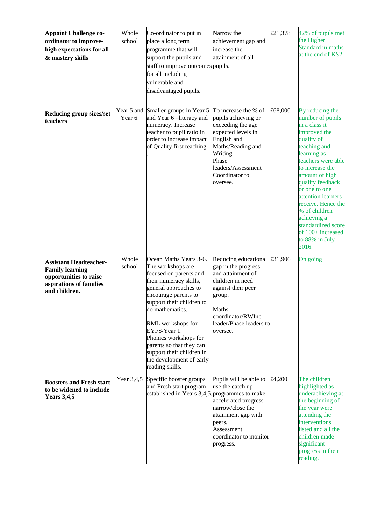| <b>Appoint Challenge co-</b>                                                                                                  | Whole                 | Co-ordinator to put in                                                                                                                                                                                                                                                                                                                                                 | Narrow the                                                                                                                                                                                          | £21,378 | 42% of pupils met                                                                                                                                                                                                                                                                                                                                                   |
|-------------------------------------------------------------------------------------------------------------------------------|-----------------------|------------------------------------------------------------------------------------------------------------------------------------------------------------------------------------------------------------------------------------------------------------------------------------------------------------------------------------------------------------------------|-----------------------------------------------------------------------------------------------------------------------------------------------------------------------------------------------------|---------|---------------------------------------------------------------------------------------------------------------------------------------------------------------------------------------------------------------------------------------------------------------------------------------------------------------------------------------------------------------------|
| ordinator to improve-<br>high expectations for all<br>& mastery skills                                                        | school                | place a long term<br>programme that will<br>support the pupils and<br>staff to improve outcomes pupils.<br>for all including<br>vulnerable and<br>disadvantaged pupils.                                                                                                                                                                                                | achievement gap and<br>increase the<br>attainment of all                                                                                                                                            |         | the Higher<br>Standard in maths<br>at the end of KS2.                                                                                                                                                                                                                                                                                                               |
| Reducing group sizes/set<br>teachers                                                                                          | Year 5 and<br>Year 6. | Smaller groups in Year 5<br>and Year 6-literacy and<br>numeracy. Increase<br>teacher to pupil ratio in<br>order to increase impact<br>of Quality first teaching                                                                                                                                                                                                        | To increase the % of<br>pupils achieving or<br>exceeding the age<br>expected levels in<br>English and<br>Maths/Reading and<br>Writing.<br>Phase<br>leaders/Assessment<br>Coordinator to<br>oversee. | £68,000 | By reducing the<br>number of pupils<br>in a class it<br>improved the<br>quality of<br>teaching and<br>learning as<br>teachers were able<br>to increase the<br>amount of high<br>quality feedback<br>or one to one<br>attention learners<br>receive. Hence the<br>% of children<br>achieving a<br>standardized score<br>of 100+ increased<br>to 88% in July<br>2016. |
| <b>Assistant Headteacher-</b><br><b>Family learning</b><br>opportunities to raise<br>aspirations of families<br>and children. | Whole<br>school       | Ocean Maths Years 3-6.<br>The workshops are<br>focused on parents and<br>their numeracy skills,<br>general approaches to<br>encourage parents to<br>support their children to<br>do mathematics.<br>RML workshops for<br>EYFS/Year 1.<br>Phonics workshops for<br>parents so that they can<br>support their children in<br>the development of early<br>reading skills. | Reducing educational £31,906<br>gap in the progress<br>and attainment of<br>children in need<br>against their peer<br>group.<br>Maths<br>coordinator/RWInc<br>leader/Phase leaders to<br>oversee.   |         | On going                                                                                                                                                                                                                                                                                                                                                            |
| <b>Boosters and Fresh start</b><br>to be widened to include<br><b>Years 3,4,5</b>                                             | Year 3,4,5            | Specific booster groups<br>and Fresh start program<br>established in Years 3,4,5. programmes to make                                                                                                                                                                                                                                                                   | Pupils will be able to<br>use the catch up<br>accelerated progress-<br>narrow/close the<br>attainment gap with<br>peers.<br>Assessment<br>coordinator to monitor<br>progress.                       | £4,200  | The children<br>highlighted as<br>underachieving at<br>the beginning of<br>the year were<br>attending the<br>interventions<br>listed and all the<br>children made<br>significant<br>progress in their<br>reading.                                                                                                                                                   |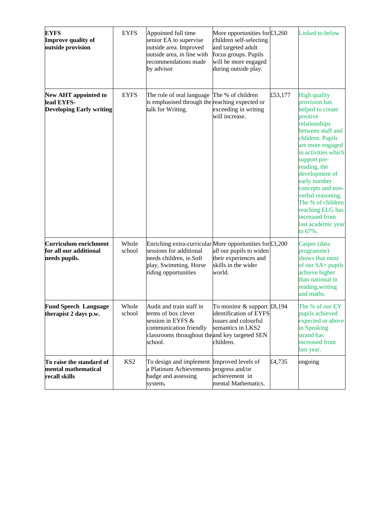| <b>EYFS</b><br>Improve quality of<br>outside provision                | <b>EYFS</b>     | Appointed full time<br>senior EA to supervise<br>outside area. Improved<br>outside area, in line with<br>recommendations made<br>by advisor                     | More opportunities for £3,260<br>children self-selecting<br>and targeted adult<br>focus groups. Pupils<br>will be more engaged<br>during outside play. |         | Linked to below                                                                                                                                                                                                                                                                                                                                                                   |
|-----------------------------------------------------------------------|-----------------|-----------------------------------------------------------------------------------------------------------------------------------------------------------------|--------------------------------------------------------------------------------------------------------------------------------------------------------|---------|-----------------------------------------------------------------------------------------------------------------------------------------------------------------------------------------------------------------------------------------------------------------------------------------------------------------------------------------------------------------------------------|
| New AHT appointed to<br>lead EYFS-<br><b>Developing Early writing</b> | <b>EYFS</b>     | The role of oral language The % of children<br>is emphasised through the reaching expected or<br>talk for Writing.                                              | exceeding in writing<br>will increase.                                                                                                                 | £53,177 | <b>High quality</b><br>provision has<br>helped to create<br>positive<br>relationships<br>between staff and<br>children. Pupils<br>are more engaged<br>in activities which<br>support pre-<br>reading, the<br>development of<br>early number<br>concepts and non-<br>verbal reasoning.<br>The % of children<br>reaching ELG has<br>increased from<br>last academic year<br>to 67%. |
| Curriculum enrichment<br>for all our additional<br>needs pupils.      | Whole<br>school | Enriching extra-curricular More opportunities for £3,200<br>sessions for additional<br>needs children, ie.Soft<br>play, Swimming, Horse<br>riding opportunities | all our pupils to widen<br>their experiences and<br>skills in the wider<br>world.                                                                      |         | Casper (data<br>programme)<br>shows that most<br>of our SA+ pupils<br>achieve higher<br>than national in<br>reading, writing<br>and maths.                                                                                                                                                                                                                                        |
| <b>Fund Speech Language</b><br>therapist 2 days p.w.                  | Whole<br>school | Audit and train staff in<br>terms of box clever<br>session in EYFS &<br>communication friendly<br>classrooms throughout the and key targeted SEN<br>school.     | To monitor $&$ support £8,194<br>identification of EYFS<br>issues and colourful<br>semantics in LKS2<br>children.                                      |         | The % of our EY<br>pupils achieved<br>expected or above<br>in Speaking<br>strand has<br>increased from<br>last year.                                                                                                                                                                                                                                                              |
| To raise the standard of<br>mental mathematical<br>recall skills      | KS <sub>2</sub> | To design and implement Improved levels of<br>a Platinum Achievements progress and/or<br>badge and assessing<br>system.                                         | achievement in<br>mental Mathematics.                                                                                                                  | £4,735  | ongoing                                                                                                                                                                                                                                                                                                                                                                           |